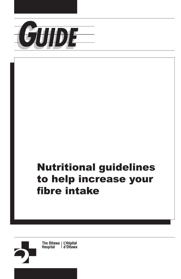

# Nutritional guidelines to help increase your fibre intake

The Ottawa | L'Hôpital<br>Hospital | d'Ottawa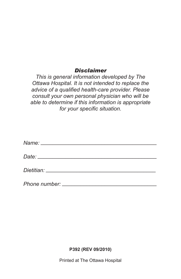#### *Disclaimer*

*This is general information developed by The Ottawa Hospital. It is not intended to replace the advice of a qualified health-care provider. Please consult your own personal physician who will be able to determine if this information is appropriate for your specific situation.* 

**P392 (REV 09/2010)** 

Printed at The Ottawa Hospital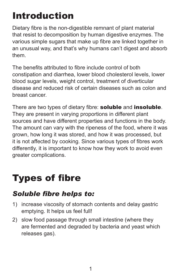# Introduction

Dietary fibre is the non-digestible remnant of plant material that resist to decomposition by human digestive enzymes. The various simple sugars that make up fibre are linked together in an unusual way, and that's why humans can't digest and absorb them.

The benefits attributed to fibre include control of both constipation and diarrhea, lower blood cholesterol levels, lower blood sugar levels, weight control, treatment of diverticular disease and reduced risk of certain diseases such as colon and breast cancer.

There are two types of dietary fibre: soluble and insoluble. They are present in varying proportions in different plant sources and have different properties and functions in the body. The amount can vary with the ripeness of the food, where it was grown, how long it was stored, and how it was processed, but it is not affected by cooking. Since various types of fibres work differently, it is important to know how they work to avoid even greater complications.

# **Types of fibre**

## *Soluble fibre helps to:*

- 1) increase viscosity of stomach contents and delay gastric emptying. It helps us feel full!
- 2) slow food passage through small intestine (where they are fermented and degraded by bacteria and yeast which releases gas).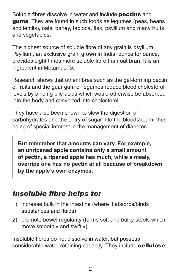Soluble fibres dissolve in water and include **pectins** and gums. They are found in such foods as legumes (peas, beans and lentils), oats, barley, tapioca, flax, psyllium and many fruits and vegetables.

The highest source of soluble fibre of any grain is psyllium. Psyllium, an exclusive grain grown in India, ounce for ounce, provides eight times more soluble fibre than oat bran. It is an ingredient in Metamucil®.

Research shows that other fibres such as the gel-forming pectin of fruits and the guar gum of legumes reduce blood cholesterol levels by binding bile acids which would otherwise be absorbed into the body and converted into cholesterol.

They have also been shown to slow the digestion of carbohydrates and the entry of sugar into the bloodstream, thus being of special interest in the management of diabetes.

**But remember that amounts can vary. For example, an unripened apple contains only a small amount of pectin, a ripened apple has much, while a mealy, overripe one has no pectin at all because of breakdown by the apple's own enzymes.** 

### *Insoluble fibre helps to:*

- 1) increase bulk in the intestine (where it absorbs/binds substances and fluids)
- 2) promote bowel regularity (forms soft and bulky stools which move smoothly and swiftly)

Insoluble fibres do not dissolve in water, but possess considerable water-retaining capacity. They include cellulose,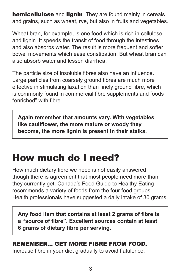**hemicellulose** and **lignin**. They are found mainly in cereals and grains, such as wheat, rye, but also in fruits and vegetables.

Wheat bran, for example, is one food which is rich in cellulose and lignin. It speeds the transit of food through the intestines and also absorbs water. The result is more frequent and softer bowel movements which ease constipation. But wheat bran can also absorb water and lessen diarrhea.

The particle size of insoluble fibres also have an influence. Large particles from coarsely ground fibres are much more effective in stimulating laxation than finely ground fibre, which is commonly found in commercial fibre supplements and foods "enriched" with fibre.

**Again remember that amounts vary. With vegetables like cauliflower, the more mature or woody they become, the more lignin is present in their stalks.** 

## How much do I need?

How much dietary fibre we need is not easily answered though there is agreement that most people need more than they currently get. Canada's Food Guide to Healthy Eating recommends a variety of foods from the four food groups. Health professionals have suggested a daily intake of 30 grams.

Any food item that contains at least 2 grams of fibre is **a "source of fibre". Excellent sources contain at least 6 grams of dietary fibre per serving.** 

#### REMEMBER... GET MORE FIBRE FROM FOOD.

Increase fibre in your diet gradually to avoid flatulence.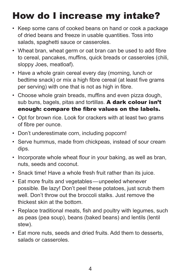# How do I increase my intake?

- Keep some cans of cooked beans on hand or cook a package of dried beans and freeze in usable quantities. Toss into salads, spaghetti sauce or casseroles.
- Wheat bran, wheat germ or oat bran can be used to add fibre to cereal, pancakes, muffins, quick breads or casseroles (chili, sloppy Joes, meatloaf).
- Have a whole grain cereal every day (morning, lunch or bedtime snack) or mix a high fibre cereal (at least five grams per serving) with one that is not as high in fibre.
- Choose whole grain breads, muffins and even pizza dough, sub buns, bagels, pitas and tortillas. A dark colour isn't enough: compare the fibre values on the labels.
- Opt for brown rice. Look for crackers with at least two grams of fibre per ounce.
- Don't underestimate corn, including popcorn!
- Serve hummus, made from chickpeas, instead of sour cream dips.
- Incorporate whole wheat flour in your baking, as well as bran, nuts, seeds and coconut.
- Snack time! Have a whole fresh fruit rather than its juice.
- Eat more fruits and vegetables—unpeeled whenever possible. Be lazy! Don't peel these potatoes, just scrub them well. Don't throw out the broccoli stalks. Just remove the thickest skin at the bottom.
- Replace traditional meats, fish and poultry with legumes, such as peas (pea soup), beans (baked beans) and lentils (lentil stew).
- Eat more nuts, seeds and dried fruits. Add them to desserts, salads or casseroles.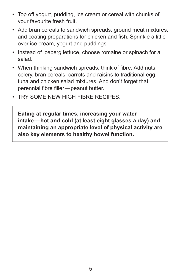- Top off yogurt, pudding, ice cream or cereal with chunks of your favourite fresh fruit.
- Add bran cereals to sandwich spreads, ground meat mixtures, and coating preparations for chicken and fish. Sprinkle a little over ice cream, yogurt and puddings.
- Instead of iceberg lettuce, choose romaine or spinach for a salad.
- When thinking sandwich spreads, think of fibre. Add nuts, celery, bran cereals, carrots and raisins to traditional egg, tuna and chicken salad mixtures. And don't forget that perennial fibre filler—peanut butter.
- TRY SOME NEW HIGH FIBRE RECIPES.

**Eating at regular times, increasing your water intake—hot and cold (at least eight glasses a day) and maintaining an appropriate level of physical activity are also key elements to healthy bowel function.**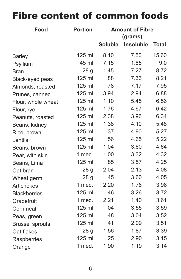### **Food Portion Amount of Fibre (grams) Soluble Insoluble Total**  Barley 125 ml 8.10 7.50 15.60 Psyllium 45 ml 7.15 1.85 9.0 Bran 28 g 1.45 7.27 8.72 Black-eyed peas 125 ml .88 7.33 8.21 Almonds, roasted 125 ml .78 7.17 7.95 Prunes, canned 125 ml 3.94 2.94 6.88 Flour, whole wheat 125 ml 1.10 5.45 6.56 Flour, rye 125 ml 1.76 4.67 6.42 Peanuts, roasted 125 ml 2.38 3.96 6.34 Beans, kidney 125 ml 1.38 4.10 5.48 Rice, brown 125 ml .37 4.90 5.27 Lentils 125 ml .56 4.65 5.22 Beans, brown 125 ml 1.04 3.60 4.64 Pear, with skin 1 med. 1.00 3.32 4.32 Beans, Lima 125 ml .85 3.57 4.25 Oat bran 28 g 2.04 2.13 4.08 Wheat germ 28 g  $.45$  3.60 4.05 Artichokes 1 med. 2.20 1.76 3.96 Blackberries 125 ml .46 3.26 3.72 Grapefruit 1 med. 2.21 1.40 3.61 Cornmeal 125 ml .04 3.55 3.59 Peas, green 125 ml .48 3.04 3.52 Brussel sprouts 125 ml .41 2.09 3.51 Oat flakes 28 g 1.56 1.87 3.39 Raspberries 125 ml .25 2.90 3.15 Orange 1 med. 1.90 1.19 3.14

## Fibre content of common foods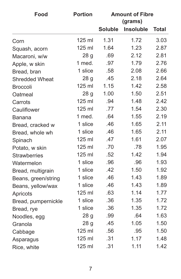| Food                  | <b>Portion</b>  | <b>Amount of Fibre</b><br>(grams) |                  |              |
|-----------------------|-----------------|-----------------------------------|------------------|--------------|
|                       |                 | <b>Soluble</b>                    | <b>Insoluble</b> | <b>Total</b> |
| Corn                  | 125 ml          | 1.31                              | 1.72             | 3.03         |
| Squash, acorn         | 125 ml          | 1.64                              | 1.23             | 2.87         |
| Macaroni, w/w         | 28 <sub>q</sub> | .69                               | 2.12             | 2.81         |
| Apple, w skin         | 1 med.          | .97                               | 1.79             | 2.76         |
| Bread, bran           | 1 slice         | .58                               | 2.08             | 2.66         |
| <b>Shredded Wheat</b> | 28 <sub>g</sub> | .45                               | 2.18             | 2.64         |
| <b>Broccoli</b>       | 125 ml          | 1.15                              | 1.42             | 2.58         |
| Oatmeal               | 28 <sub>g</sub> | 1.00                              | 1.50             | 2.51         |
| Carrots               | 125 ml          | .94                               | 1.48             | 2.42         |
| Cauliflower           | 125 ml          | .77                               | 1.54             | 2.30         |
| <b>Banana</b>         | 1 med.          | .64                               | 1.55             | 2.19         |
| Bread, cracked w      | 1 slice         | .46                               | 1.65             | 2.11         |
| Bread, whole wh       | 1 slice         | .46                               | 1.65             | 2.11         |
| Spinach               | 125 ml          | .47                               | 1.61             | 2.07         |
| Potato, w skin        | 125 ml          | .70                               | .78              | 1.95         |
| <b>Strawberries</b>   | 125 ml          | .52                               | 1.42             | 1.94         |
| Watermelon            | 1 slice         | .96                               | .96              | 1.93         |
| Bread, multigrain     | 1 slice         | .42                               | 1.50             | 1.92         |
| Beans, green/string   | 1 slice         | .46                               | 1.43             | 1.89         |
| Beans, yellow/wax     | 1 slice         | .46                               | 1.43             | 1.89         |
| Apricots              | 125 ml          | .63                               | 1.14             | 1.77         |
| Bread, pumpernickle   | 1 slice         | .36                               | 1.35             | 1.72         |
| Bread, rye            | 1 slice         | .36                               | 1.35             | 1.72         |
| Noodles, egg          | 28 g            | .99                               | .64              | 1.63         |
| Granola               | 28 g            | .45                               | 1.05             | 1.50         |
| Cabbage               | 125 ml          | .56                               | .95              | 1.50         |
| Asparagus             | 125 ml          | .31                               | 1.17             | 1.48         |
| Rice, white           | 125 ml          | .31                               | 1.11             | 1.42         |